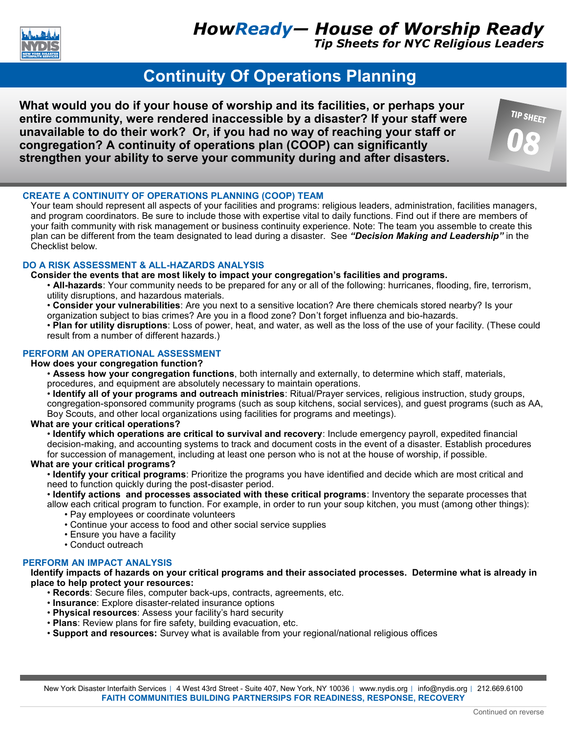

*Tip Sheets for NYC Religious Leaders*

**TIP SHEET** 

# **Continuity Of Operations Planning**

**What would you do if your house of worship and its facilities, or perhaps your entire community, were rendered inaccessible by a disaster? If your staff were unavailable to do their work? Or, if you had no way of reaching your staff or congregation? A continuity of operations plan (COOP) can significantly strengthen your ability to serve your community during and after disasters.** 



Your team should represent all aspects of your facilities and programs: religious leaders, administration, facilities managers, and program coordinators. Be sure to include those with expertise vital to daily functions. Find out if there are members of your faith community with risk management or business continuity experience. Note: The team you assemble to create this plan can be different from the team designated to lead during a disaster. See *"Decision Making and Leadership"* in the Checklist below.

# **DO A RISK ASSESSMENT & ALL-HAZARDS ANALYSIS**

# **Consider the events that are most likely to impact your congregation's facilities and programs.**

• **All-hazards**: Your community needs to be prepared for any or all of the following: hurricanes, flooding, fire, terrorism, utility disruptions, and hazardous materials.

• **Consider your vulnerabilities**: Are you next to a sensitive location? Are there chemicals stored nearby? Is your organization subject to bias crimes? Are you in a flood zone? Don't forget influenza and bio-hazards.

• **Plan for utility disruptions**: Loss of power, heat, and water, as well as the loss of the use of your facility. (These could result from a number of different hazards.)

# **PERFORM AN OPERATIONAL ASSESSMENT**

### **How does your congregation function?**

• **Assess how your congregation functions**, both internally and externally, to determine which staff, materials, procedures, and equipment are absolutely necessary to maintain operations.

• **Identify all of your programs and outreach ministries**: Ritual/Prayer services, religious instruction, study groups, congregation-sponsored community programs (such as soup kitchens, social services), and guest programs (such as AA, Boy Scouts, and other local organizations using facilities for programs and meetings).

# **What are your critical operations?**

• **Identify which operations are critical to survival and recovery**: Include emergency payroll, expedited financial decision-making, and accounting systems to track and document costs in the event of a disaster. Establish procedures for succession of management, including at least one person who is not at the house of worship, if possible.

### **What are your critical programs?**

• **Identify your critical programs**: Prioritize the programs you have identified and decide which are most critical and need to function quickly during the post-disaster period.

• **Identify actions and processes associated with these critical programs**: Inventory the separate processes that

allow each critical program to function. For example, in order to run your soup kitchen, you must (among other things): • Pay employees or coordinate volunteers

- Continue your access to food and other social service supplies
- Ensure you have a facility
- Conduct outreach

# **PERFORM AN IMPACT ANALYSIS**

**Identify impacts of hazards on your critical programs and their associated processes. Determine what is already in place to help protect your resources:**

- **Records**: Secure files, computer back-ups, contracts, agreements, etc.
- **Insurance**: Explore disaster-related insurance options
- **Physical resources**: Assess your facility's hard security
- **Plans**: Review plans for fire safety, building evacuation, etc.
- **Support and resources:** Survey what is available from your regional/national religious offices